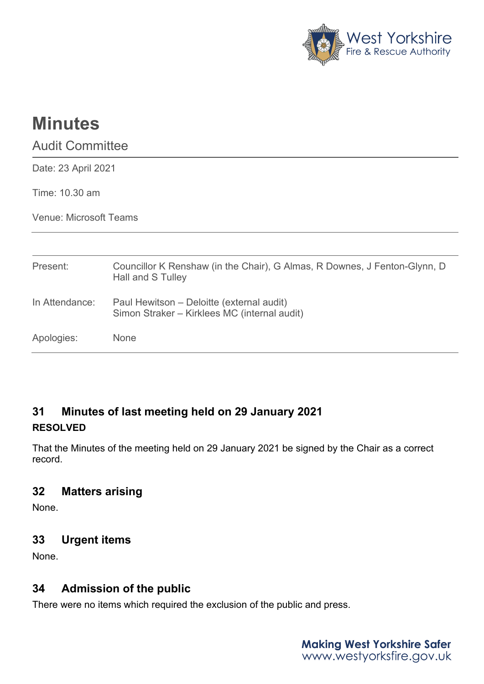

# **Minutes**

Audit Committee

Date: 23 April 2021

Time: 10.30 am

Venue: Microsoft Teams

| Present:       | Councillor K Renshaw (in the Chair), G Almas, R Downes, J Fenton-Glynn, D<br>Hall and S Tulley |
|----------------|------------------------------------------------------------------------------------------------|
| In Attendance: | Paul Hewitson – Deloitte (external audit)<br>Simon Straker - Kirklees MC (internal audit)      |
| Apologies:     | <b>None</b>                                                                                    |

# **31 Minutes of last meeting held on 29 January 2021 RESOLVED**

That the Minutes of the meeting held on 29 January 2021 be signed by the Chair as a correct record.

## **32 Matters arising**

None.

## **33 Urgent items**

None.

# **34 Admission of the public**

There were no items which required the exclusion of the public and press.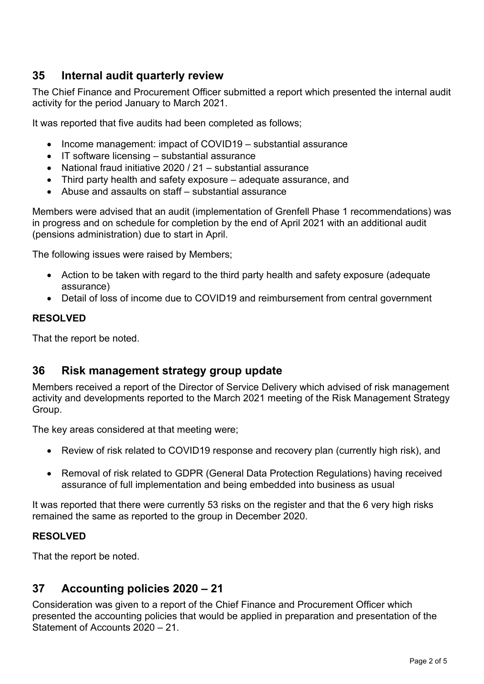## **35 Internal audit quarterly review**

The Chief Finance and Procurement Officer submitted a report which presented the internal audit activity for the period January to March 2021.

It was reported that five audits had been completed as follows;

- Income management: impact of COVID19 substantial assurance
- IT software licensing substantial assurance
- National fraud initiative 2020 / 21 substantial assurance
- Third party health and safety exposure adequate assurance, and
- Abuse and assaults on staff substantial assurance

Members were advised that an audit (implementation of Grenfell Phase 1 recommendations) was in progress and on schedule for completion by the end of April 2021 with an additional audit (pensions administration) due to start in April.

The following issues were raised by Members;

- Action to be taken with regard to the third party health and safety exposure (adequate assurance)
- Detail of loss of income due to COVID19 and reimbursement from central government

#### **RESOLVED**

That the report be noted.

#### **36 Risk management strategy group update**

Members received a report of the Director of Service Delivery which advised of risk management activity and developments reported to the March 2021 meeting of the Risk Management Strategy Group.

The key areas considered at that meeting were;

- Review of risk related to COVID19 response and recovery plan (currently high risk), and
- Removal of risk related to GDPR (General Data Protection Regulations) having received assurance of full implementation and being embedded into business as usual

It was reported that there were currently 53 risks on the register and that the 6 very high risks remained the same as reported to the group in December 2020.

#### **RESOLVED**

That the report be noted.

### **37 Accounting policies 2020 – 21**

Consideration was given to a report of the Chief Finance and Procurement Officer which presented the accounting policies that would be applied in preparation and presentation of the Statement of Accounts 2020 – 21.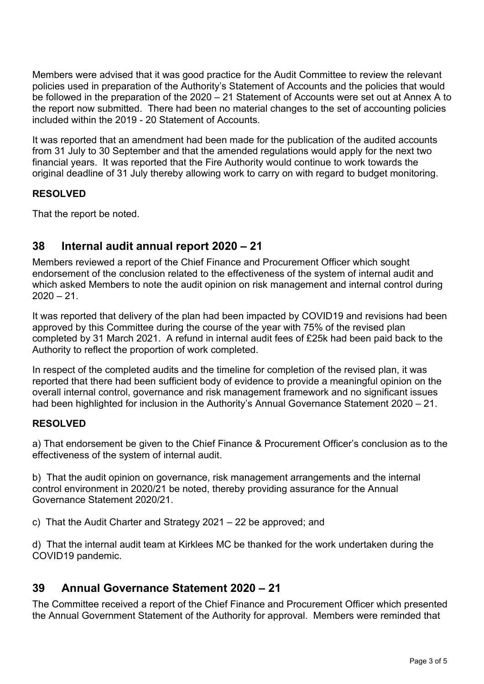Members were advised that it was good practice for the Audit Committee to review the relevant policies used in preparation of the Authority's Statement of Accounts and the policies that would be followed in the preparation of the 2020 – 21 Statement of Accounts were set out at Annex A to the report now submitted. There had been no material changes to the set of accounting policies included within the 2019 - 20 Statement of Accounts.

It was reported that an amendment had been made for the publication of the audited accounts from 31 July to 30 September and that the amended regulations would apply for the next two financial years. It was reported that the Fire Authority would continue to work towards the original deadline of 31 July thereby allowing work to carry on with regard to budget monitoring.

#### **RESOLVED**

That the report be noted.

## **38 Internal audit annual report 2020 – 21**

Members reviewed a report of the Chief Finance and Procurement Officer which sought endorsement of the conclusion related to the effectiveness of the system of internal audit and which asked Members to note the audit opinion on risk management and internal control during  $2020 - 21$ .

It was reported that delivery of the plan had been impacted by COVID19 and revisions had been approved by this Committee during the course of the year with 75% of the revised plan completed by 31 March 2021. A refund in internal audit fees of £25k had been paid back to the Authority to reflect the proportion of work completed.

In respect of the completed audits and the timeline for completion of the revised plan, it was reported that there had been sufficient body of evidence to provide a meaningful opinion on the overall internal control, governance and risk management framework and no significant issues had been highlighted for inclusion in the Authority's Annual Governance Statement 2020 – 21.

#### **RESOLVED**

a) That endorsement be given to the Chief Finance & Procurement Officer's conclusion as to the effectiveness of the system of internal audit.

b) That the audit opinion on governance, risk management arrangements and the internal control environment in 2020/21 be noted, thereby providing assurance for the Annual Governance Statement 2020/21.

c) That the Audit Charter and Strategy 2021 – 22 be approved; and

d) That the internal audit team at Kirklees MC be thanked for the work undertaken during the COVID19 pandemic.

## **39 Annual Governance Statement 2020 – 21**

The Committee received a report of the Chief Finance and Procurement Officer which presented the Annual Government Statement of the Authority for approval. Members were reminded that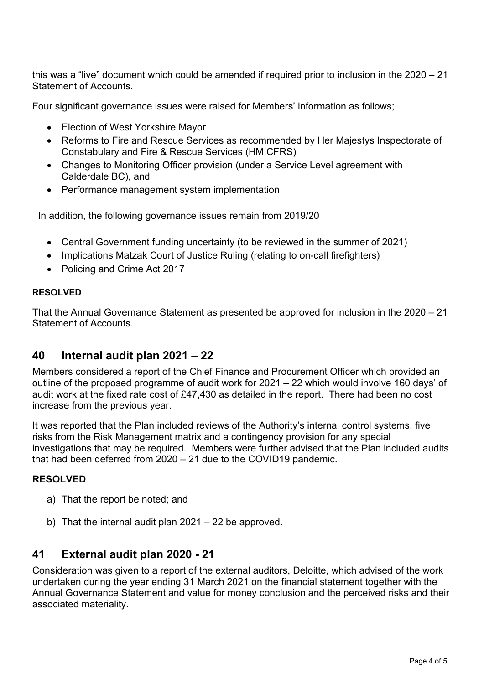this was a "live" document which could be amended if required prior to inclusion in the 2020 – 21 Statement of Accounts.

Four significant governance issues were raised for Members' information as follows;

- Election of West Yorkshire Mayor
- Reforms to Fire and Rescue Services as recommended by Her Majestys Inspectorate of Constabulary and Fire & Rescue Services (HMICFRS)
- Changes to Monitoring Officer provision (under a Service Level agreement with Calderdale BC), and
- Performance management system implementation

In addition, the following governance issues remain from 2019/20

- Central Government funding uncertainty (to be reviewed in the summer of 2021)
- Implications Matzak Court of Justice Ruling (relating to on-call firefighters)
- Policing and Crime Act 2017

#### **RESOLVED**

That the Annual Governance Statement as presented be approved for inclusion in the 2020 – 21 Statement of Accounts.

#### **40 Internal audit plan 2021 – 22**

Members considered a report of the Chief Finance and Procurement Officer which provided an outline of the proposed programme of audit work for 2021 – 22 which would involve 160 days' of audit work at the fixed rate cost of £47,430 as detailed in the report. There had been no cost increase from the previous year.

It was reported that the Plan included reviews of the Authority's internal control systems, five risks from the Risk Management matrix and a contingency provision for any special investigations that may be required. Members were further advised that the Plan included audits that had been deferred from 2020 – 21 due to the COVID19 pandemic.

#### **RESOLVED**

- a) That the report be noted; and
- b) That the internal audit plan 2021 22 be approved.

#### **41 External audit plan 2020 - 21**

Consideration was given to a report of the external auditors, Deloitte, which advised of the work undertaken during the year ending 31 March 2021 on the financial statement together with the Annual Governance Statement and value for money conclusion and the perceived risks and their associated materiality.